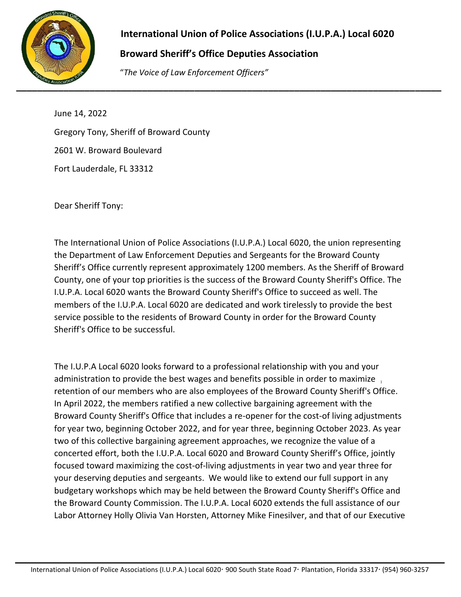

## **International Union of Police Associations (I.U.P.A.) Local 6020**

## **Broward Sheriff's Office Deputies Association**

"*The Voice of Law Enforcement Officers"*

June 14, 2022 Gregory Tony, Sheriff of Broward County 2601 W. Broward Boulevard Fort Lauderdale, FL 33312

Dear Sheriff Tony:

The International Union of Police Associations (I.U.P.A.) Local 6020, the union representing the Department of Law Enforcement Deputies and Sergeants for the Broward County Sheriff's Office currently represent approximately 1200 members. As the Sheriff of Broward County, one of your top priorities is the success of the Broward County Sheriff's Office. The I.U.P.A. Local 6020 wants the Broward County Sheriff's Office to succeed as well. The members of the I.U.P.A. Local 6020 are dedicated and work tirelessly to provide the best service possible to the residents of Broward County in order for the Broward County Sheriff's Office to be successful.

administration to provide the best wages and benefits possible in order to maximize  $\frac{1}{1}$ The I.U.P.A Local 6020 looks forward to a professional relationship with you and your retention of our members who are also employees of the Broward County Sheriff's Office. In April 2022, the members ratified a new collective bargaining agreement with the Broward County Sheriff's Office that includes a re-opener for the cost-of living adjustments for year two, beginning October 2022, and for year three, beginning October 2023. As year two of this collective bargaining agreement approaches, we recognize the value of a concerted effort, both the I.U.P.A. Local 6020 and Broward County Sheriff's Office, jointly focused toward maximizing the cost-of-living adjustments in year two and year three for your deserving deputies and sergeants. We would like to extend our full support in any budgetary workshops which may be held between the Broward County Sheriff's Office and the Broward County Commission. The I.U.P.A. Local 6020 extends the full assistance of our Labor Attorney Holly Olivia Van Horsten, Attorney Mike Finesilver, and that of our Executive